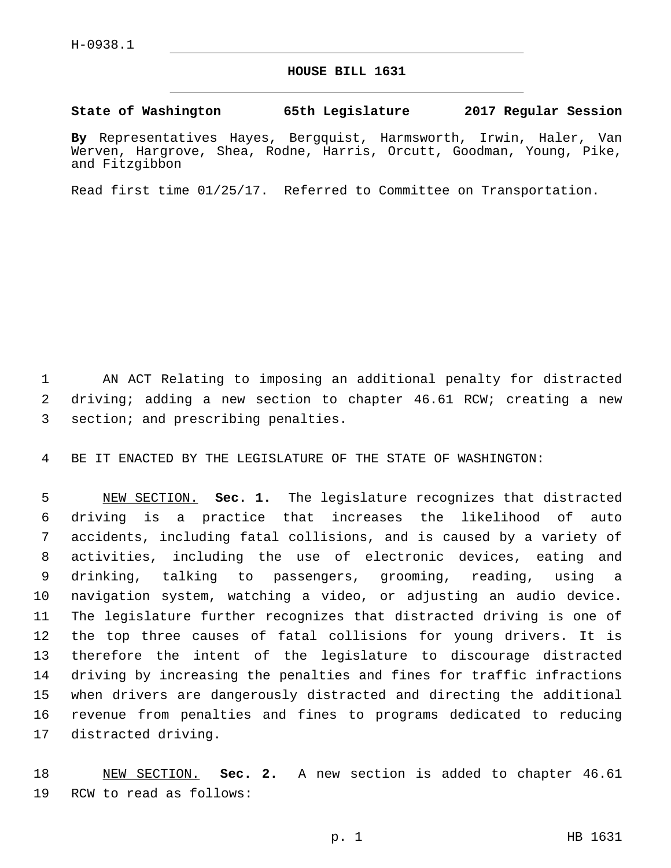## **HOUSE BILL 1631**

## **State of Washington 65th Legislature 2017 Regular Session**

**By** Representatives Hayes, Bergquist, Harmsworth, Irwin, Haler, Van Werven, Hargrove, Shea, Rodne, Harris, Orcutt, Goodman, Young, Pike, and Fitzgibbon

Read first time 01/25/17. Referred to Committee on Transportation.

 AN ACT Relating to imposing an additional penalty for distracted driving; adding a new section to chapter 46.61 RCW; creating a new 3 section; and prescribing penalties.

BE IT ENACTED BY THE LEGISLATURE OF THE STATE OF WASHINGTON:

 NEW SECTION. **Sec. 1.** The legislature recognizes that distracted driving is a practice that increases the likelihood of auto accidents, including fatal collisions, and is caused by a variety of activities, including the use of electronic devices, eating and drinking, talking to passengers, grooming, reading, using a navigation system, watching a video, or adjusting an audio device. The legislature further recognizes that distracted driving is one of the top three causes of fatal collisions for young drivers. It is therefore the intent of the legislature to discourage distracted driving by increasing the penalties and fines for traffic infractions when drivers are dangerously distracted and directing the additional revenue from penalties and fines to programs dedicated to reducing distracted driving.

 NEW SECTION. **Sec. 2.** A new section is added to chapter 46.61 19 RCW to read as follows: